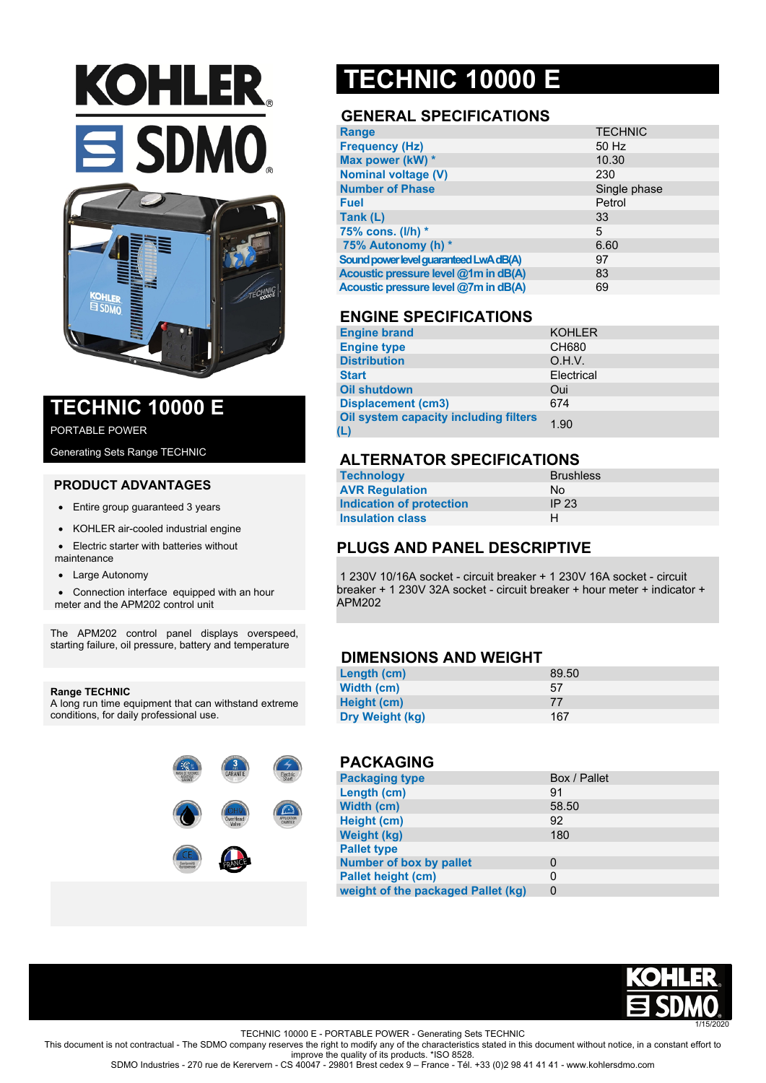# **KOHLER.**  $\equiv$  SDMO.



### **TECHNIC 10000 E**

PORTABLE POWER

Generating Sets Range TECHNIC

#### **PRODUCT ADVANTAGES**

- Entire group guaranteed 3 years
- KOHLER air-cooled industrial engine
- Electric starter with batteries without maintenance
- Large Autonomy
- Connection interface equipped with an hour
- meter and the APM202 control unit

The APM202 control panel displays overspeed, starting failure, oil pressure, battery and temperature

#### **Range TECHNIC**

A long run time equipment that can withstand extreme conditions, for daily professional use.



## **TECHNIC 10000 E**

#### **GENERAL SPECIFICATIONS**

| <b>Range</b>                           | <b>TECHNIC</b> |
|----------------------------------------|----------------|
| <b>Frequency (Hz)</b>                  | 50 Hz          |
| Max power (kW) *                       | 10.30          |
| <b>Nominal voltage (V)</b>             | 230            |
| <b>Number of Phase</b>                 | Single phase   |
| <b>Fuel</b>                            | Petrol         |
| Tank (L)                               | 33             |
| 75% cons. $(I/h)$ *                    | 5              |
| 75% Autonomy (h) *                     | 6.60           |
| Sound power level guaranteed LwA dB(A) | 97             |
| Acoustic pressure level @1m in dB(A)   | 83             |
| Acoustic pressure level @7m in dB(A)   | 69             |

#### **ENGINE SPECIFICATIONS**

| <b>Engine brand</b>                          | <b>KOHLER</b> |
|----------------------------------------------|---------------|
| <b>Engine type</b>                           | <b>CH680</b>  |
| <b>Distribution</b>                          | O.H.V.        |
| <b>Start</b>                                 | Electrical    |
| <b>Oil shutdown</b>                          | Oui           |
| <b>Displacement (cm3)</b>                    | 674           |
| Oil system capacity including filters<br>(L) | 1.90          |

#### **ALTERNATOR SPECIFICATIONS**

| <b>Technology</b>        | <b>Brushless</b> |
|--------------------------|------------------|
| <b>AVR Regulation</b>    | Nο               |
| Indication of protection | IP <sub>23</sub> |
| <b>Insulation class</b>  | н                |

#### **PLUGS AND PANEL DESCRIPTIVE**

1 230V 10/16A socket - circuit breaker + 1 230V 16A socket - circuit breaker + 1 230V 32A socket - circuit breaker + hour meter + indicator + APM202

#### **DIMENSIONS AND WEIGHT**

| Length (cm)     | 89.50 |
|-----------------|-------|
| Width (cm)      | 57    |
| Height (cm)     | 77    |
| Dry Weight (kg) | 167   |

#### **PACKAGING**

| <b>Packaging type</b>              | Box / Pallet |
|------------------------------------|--------------|
| Length (cm)                        | 91           |
| Width (cm)                         | 58.50        |
| Height (cm)                        | 92           |
| <b>Weight (kg)</b>                 | 180          |
| <b>Pallet type</b>                 |              |
| <b>Number of box by pallet</b>     | 0            |
| <b>Pallet height (cm)</b>          | 0            |
| weight of the packaged Pallet (kg) | 0            |



TECHNIC 10000 E - PORTABLE POWER - Generating Sets TECHNIC

This document is not contractual - The SDMO company reserves the right to modify any of the characteristics stated in this document without notice, in a constant effort to improve the quality of its products. \*ISO 8528.

SDMO Industries - 270 rue de Kerervern - CS 40047 - 29801 Brest cedex 9 – France - Tél. +33 (0)2 98 41 41 41 - www.kohlersdmo.com